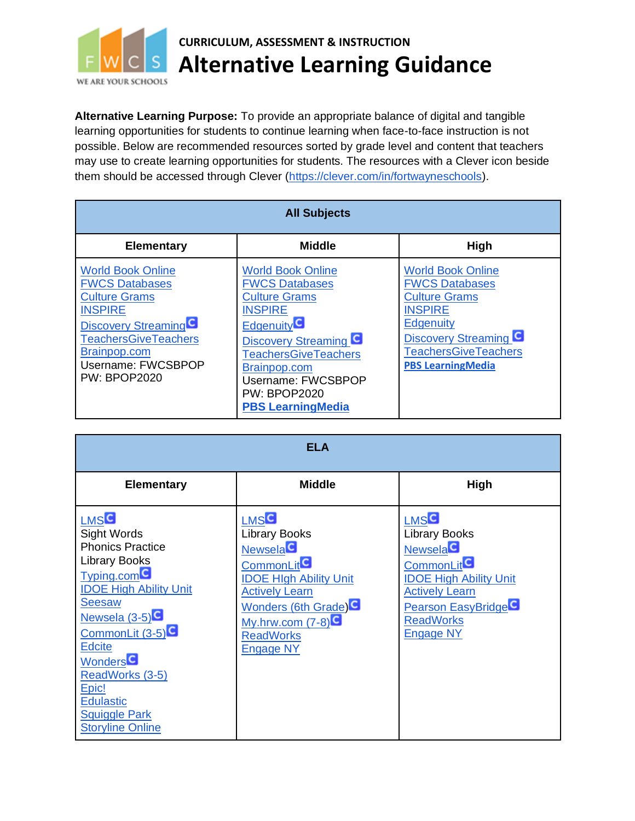

## **CURRICULUM, ASSESSMENT & INSTRUCTION Alternative Learning Guidance**

**Alternative Learning Purpose:** To provide an appropriate balance of digital and tangible learning opportunities for students to continue learning when face-to-face instruction is not possible. Below are recommended resources sorted by grade level and content that teachers may use to create learning opportunities for students. The resources with a Clever icon beside them should be accessed through Clever [\(https://clever.com/in/fortwayneschools\)](https://clever.com/in/fortwayneschools).

| <b>All Subjects</b>                                                                                                                                                                                                                |                                                                                                                                                                                                                                                                         |                                                                                                                                                                                                            |
|------------------------------------------------------------------------------------------------------------------------------------------------------------------------------------------------------------------------------------|-------------------------------------------------------------------------------------------------------------------------------------------------------------------------------------------------------------------------------------------------------------------------|------------------------------------------------------------------------------------------------------------------------------------------------------------------------------------------------------------|
| <b>Elementary</b>                                                                                                                                                                                                                  | <b>Middle</b>                                                                                                                                                                                                                                                           | High                                                                                                                                                                                                       |
| <b>World Book Online</b><br><b>FWCS Databases</b><br><b>Culture Grams</b><br><b>INSPIRE</b><br>Discovery Streaming <sup>1</sup><br><b>TeachersGiveTeachers</b><br>Brainpop.com<br><b>Username: FWCSBPOP</b><br><b>PW: BPOP2020</b> | <b>World Book Online</b><br><b>FWCS Databases</b><br><b>Culture Grams</b><br><b>INSPIRE</b><br><b>Edgenuity</b><br><b>Discovery Streaming G</b><br><b>TeachersGiveTeachers</b><br>Brainpop.com<br>Username: FWCSBPOP<br><b>PW: BPOP2020</b><br><b>PBS LearningMedia</b> | <b>World Book Online</b><br><b>FWCS Databases</b><br><b>Culture Grams</b><br><b>INSPIRE</b><br><b>Edgenuity</b><br><b>Discovery Streaming C</b><br><b>TeachersGiveTeachers</b><br><b>PBS LearningMedia</b> |

| <b>ELA</b>                                                                                                                                                                                                                                                                                                                                                                        |                                                                                                                                                                                                                                                           |                                                                                                                                                                                                                               |
|-----------------------------------------------------------------------------------------------------------------------------------------------------------------------------------------------------------------------------------------------------------------------------------------------------------------------------------------------------------------------------------|-----------------------------------------------------------------------------------------------------------------------------------------------------------------------------------------------------------------------------------------------------------|-------------------------------------------------------------------------------------------------------------------------------------------------------------------------------------------------------------------------------|
| <b>Elementary</b>                                                                                                                                                                                                                                                                                                                                                                 | <b>Middle</b>                                                                                                                                                                                                                                             | High                                                                                                                                                                                                                          |
| <b>LMS<sup>C</sup></b><br>Sight Words<br><b>Phonics Practice</b><br><b>Library Books</b><br>Typing.com <sup>C</sup><br><b>IDOE High Ability Unit</b><br><b>Seesaw</b><br>Newsela $(3-5)$ <sup>C</sup><br>CommonLit (3-5) <sup>C</sup><br><b>Edcite</b><br>Wonders <sup>C</sup><br>ReadWorks (3-5)<br>Epic!<br><b>Edulastic</b><br><b>Squiggle Park</b><br><b>Storyline Online</b> | <b>LMS<sup>C</sup></b><br><b>Library Books</b><br><b>Newsela</b> <sup>C</sup><br><b>CommonLit</b><br><b>IDOE HIgh Ability Unit</b><br><b>Actively Learn</b><br><b>Wonders (6th Grade)</b> C<br>$My.htm.com (7-8)$<br><b>ReadWorks</b><br><b>Engage NY</b> | <b>LMS<sup>C</sup></b><br><b>Library Books</b><br><b>Newsela</b> C<br>CommonLit <sup>C</sup><br><b>IDOE High Ability Unit</b><br><b>Actively Learn</b><br><b>Pearson EasyBridge</b> C<br><b>ReadWorks</b><br><b>Engage NY</b> |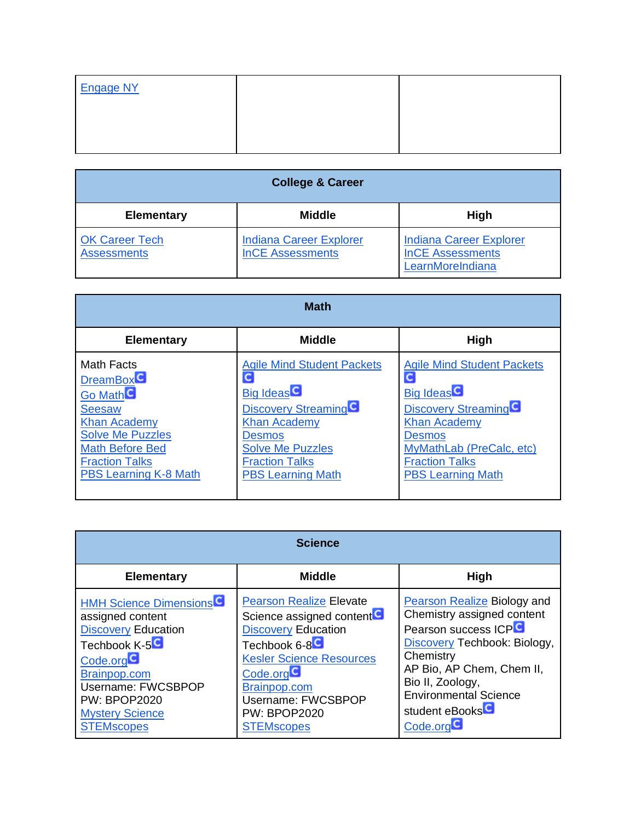| <b>Engage NY</b> |  |
|------------------|--|
|                  |  |
|                  |  |

| <b>College &amp; Career</b>                 |                                                           |                                                                               |
|---------------------------------------------|-----------------------------------------------------------|-------------------------------------------------------------------------------|
| <b>Elementary</b>                           | <b>Middle</b>                                             | <b>High</b>                                                                   |
| <b>OK Career Tech</b><br><b>Assessments</b> | <b>Indiana Career Explorer</b><br><b>InCE Assessments</b> | <b>Indiana Career Explorer</b><br><b>InCE Assessments</b><br>LearnMoreIndiana |

| <b>Math</b>                                                                                                                                                                                                 |                                                                                                                                                                                                                   |                                                                                                                                                                                                                          |
|-------------------------------------------------------------------------------------------------------------------------------------------------------------------------------------------------------------|-------------------------------------------------------------------------------------------------------------------------------------------------------------------------------------------------------------------|--------------------------------------------------------------------------------------------------------------------------------------------------------------------------------------------------------------------------|
| <b>Elementary</b>                                                                                                                                                                                           | <b>Middle</b>                                                                                                                                                                                                     | High                                                                                                                                                                                                                     |
| Math Facts<br><b>DreamBox</b><br>Go Math <sup>C</sup><br><b>Seesaw</b><br><b>Khan Academy</b><br><b>Solve Me Puzzles</b><br><b>Math Before Bed</b><br><b>Fraction Talks</b><br><b>PBS Learning K-8 Math</b> | <b>Agile Mind Student Packets</b><br><b>Big Ideas</b><br>Discovery Streaming <sup>C</sup><br><b>Khan Academy</b><br><b>Desmos</b><br><b>Solve Me Puzzles</b><br><b>Fraction Talks</b><br><b>PBS Learning Math</b> | <b>Agile Mind Student Packets</b><br>Big Ideas <sup>C</sup><br>Discovery Streaming <sup>C</sup><br><b>Khan Academy</b><br><b>Desmos</b><br>MyMathLab (PreCalc, etc)<br><b>Fraction Talks</b><br><b>PBS Learning Math</b> |

| <b>Science</b>                                                                                                                                                                                                                       |                                                                                                                                                                                                                                                                                  |                                                                                                                                                                                                                                                                                |
|--------------------------------------------------------------------------------------------------------------------------------------------------------------------------------------------------------------------------------------|----------------------------------------------------------------------------------------------------------------------------------------------------------------------------------------------------------------------------------------------------------------------------------|--------------------------------------------------------------------------------------------------------------------------------------------------------------------------------------------------------------------------------------------------------------------------------|
| <b>Elementary</b>                                                                                                                                                                                                                    | <b>Middle</b>                                                                                                                                                                                                                                                                    | High                                                                                                                                                                                                                                                                           |
| <b>HMH Science Dimensions</b><br>assigned content<br><b>Discovery Education</b><br>Techbook K-5 <sup>C</sup><br>Code.org<br>Brainpop.com<br>Username: FWCSBPOP<br><b>PW: BPOP2020</b><br><b>Mystery Science</b><br><b>STEMscopes</b> | <b>Pearson Realize Elevate</b><br>Science assigned content <sup>C</sup><br><b>Discovery Education</b><br>Techbook 6-8 <sup>C</sup><br><b>Kesler Science Resources</b><br>Code.org <sup>1</sup><br>Brainpop.com<br>Username: FWCSBPOP<br><b>PW: BPOP2020</b><br><b>STEMscopes</b> | <b>Pearson Realize Biology and</b><br>Chemistry assigned content<br>Pearson success ICPC<br>Discovery Techbook: Biology,<br>Chemistry<br>AP Bio, AP Chem, Chem II,<br>Bio II, Zoology,<br><b>Environmental Science</b><br>student eBooks <sup>C</sup><br>Code.org <sup>C</sup> |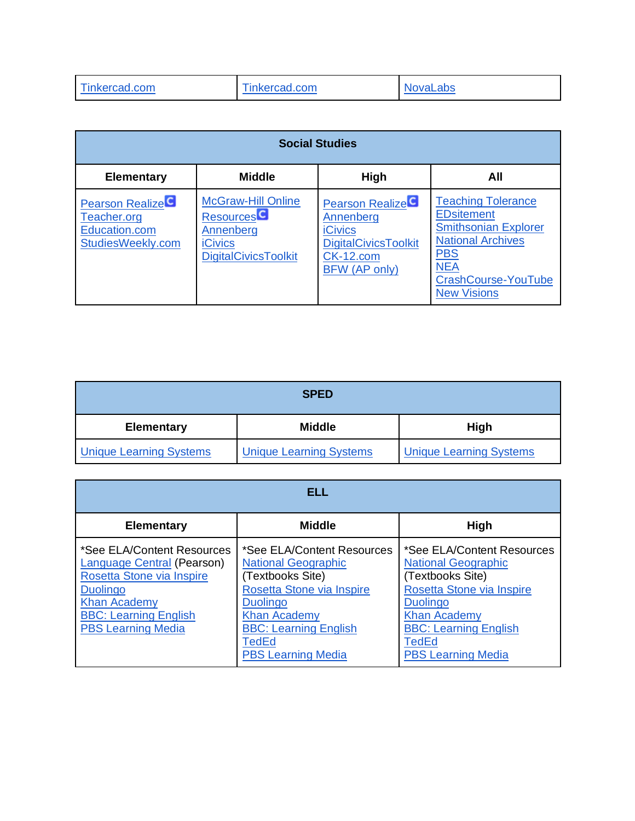| Tinkercad.com | Tinkercad.com | <b>NovaLabs</b> |
|---------------|---------------|-----------------|
|               |               |                 |

| <b>Social Studies</b>                                                       |                                                                                                             |                                                                                                                                 |                                                                                                                                                                                           |
|-----------------------------------------------------------------------------|-------------------------------------------------------------------------------------------------------------|---------------------------------------------------------------------------------------------------------------------------------|-------------------------------------------------------------------------------------------------------------------------------------------------------------------------------------------|
| <b>Elementary</b>                                                           | <b>Middle</b>                                                                                               | High                                                                                                                            | All                                                                                                                                                                                       |
| <b>Pearson Realize</b><br>Teacher.org<br>Education.com<br>StudiesWeekly.com | <b>McGraw-Hill Online</b><br><b>Resources</b><br>Annenberg<br><b>iCivics</b><br><b>DigitalCivicsToolkit</b> | Pearson Realize <sup>C</sup><br>Annenberg<br><b>iCivics</b><br><b>DigitalCivicsToolkit</b><br><b>CK-12.com</b><br>BFW (AP only) | <b>Teaching Tolerance</b><br><b>EDsitement</b><br><b>Smithsonian Explorer</b><br><b>National Archives</b><br><b>PBS</b><br><b>NEA</b><br><b>CrashCourse-YouTube</b><br><b>New Visions</b> |

| <b>SPED</b>                    |                                |                                |
|--------------------------------|--------------------------------|--------------------------------|
| <b>Elementary</b>              | <b>Middle</b>                  | <b>High</b>                    |
| <b>Unique Learning Systems</b> | <b>Unique Learning Systems</b> | <b>Unique Learning Systems</b> |

| ELL                                                                                                                                                                                                 |                                                                                                                                                                                                                                  |                                                                                                                                                                                                                           |
|-----------------------------------------------------------------------------------------------------------------------------------------------------------------------------------------------------|----------------------------------------------------------------------------------------------------------------------------------------------------------------------------------------------------------------------------------|---------------------------------------------------------------------------------------------------------------------------------------------------------------------------------------------------------------------------|
| <b>Elementary</b>                                                                                                                                                                                   | <b>Middle</b>                                                                                                                                                                                                                    | High                                                                                                                                                                                                                      |
| *See ELA/Content Resources<br><b>Language Central (Pearson)</b><br>Rosetta Stone via Inspire<br><b>Duolingo</b><br><b>Khan Academy</b><br><b>BBC: Learning English</b><br><b>PBS Learning Media</b> | *See ELA/Content Resources<br><b>National Geographic</b><br>(Textbooks Site)<br>Rosetta Stone via Inspire<br><b>Duolingo</b><br><b>Khan Academy</b><br><b>BBC: Learning English</b><br><b>TedEd</b><br><b>PBS Learning Media</b> | *See ELA/Content Resources<br><b>National Geographic</b><br>(Textbooks Site)<br>Rosetta Stone via Inspire<br><b>Duolingo</b><br><b>Khan Academy</b><br><b>BBC: Learning English</b><br>TedEd<br><b>PBS Learning Media</b> |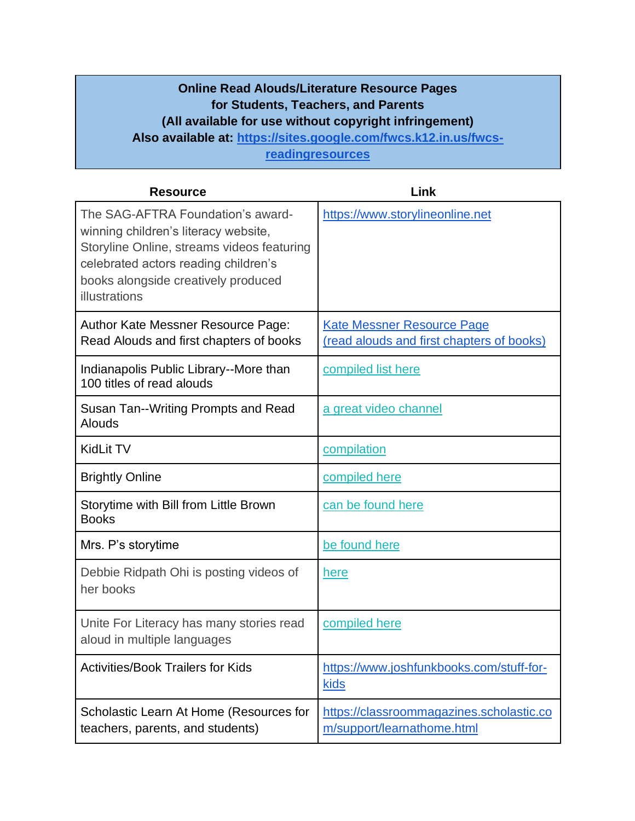## **Online Read Alouds/Literature Resource Pages for Students, Teachers, and Parents (All available for use without copyright infringement) Also available at: [https://sites.google.com/fwcs.k12.in.us/fwcs](https://sites.google.com/fwcs.k12.in.us/fwcs-readingresources)[readingresources](https://sites.google.com/fwcs.k12.in.us/fwcs-readingresources)**

| <b>Resource</b>                                                                                                                                                                                                         | Link                                                                           |
|-------------------------------------------------------------------------------------------------------------------------------------------------------------------------------------------------------------------------|--------------------------------------------------------------------------------|
| The SAG-AFTRA Foundation's award-<br>winning children's literacy website,<br>Storyline Online, streams videos featuring<br>celebrated actors reading children's<br>books alongside creatively produced<br>illustrations | https://www.storylineonline.net                                                |
| Author Kate Messner Resource Page:<br>Read Alouds and first chapters of books                                                                                                                                           | <b>Kate Messner Resource Page</b><br>(read alouds and first chapters of books) |
| Indianapolis Public Library--More than<br>100 titles of read alouds                                                                                                                                                     | compiled list here                                                             |
| Susan Tan--Writing Prompts and Read<br>Alouds                                                                                                                                                                           | a great video channel                                                          |
| <b>KidLit TV</b>                                                                                                                                                                                                        | compilation                                                                    |
| <b>Brightly Online</b>                                                                                                                                                                                                  | compiled here                                                                  |
| Storytime with Bill from Little Brown<br><b>Books</b>                                                                                                                                                                   | can be found here                                                              |
| Mrs. P's storytime                                                                                                                                                                                                      | be found here                                                                  |
| Debbie Ridpath Ohi is posting videos of<br>her books                                                                                                                                                                    | here                                                                           |
| Unite For Literacy has many stories read<br>aloud in multiple languages                                                                                                                                                 | compiled here                                                                  |
| <b>Activities/Book Trailers for Kids</b>                                                                                                                                                                                | https://www.joshfunkbooks.com/stuff-for-<br><u>kids</u>                        |
| Scholastic Learn At Home (Resources for<br>teachers, parents, and students)                                                                                                                                             | https://classroommagazines.scholastic.co<br>m/support/learnathome.html         |